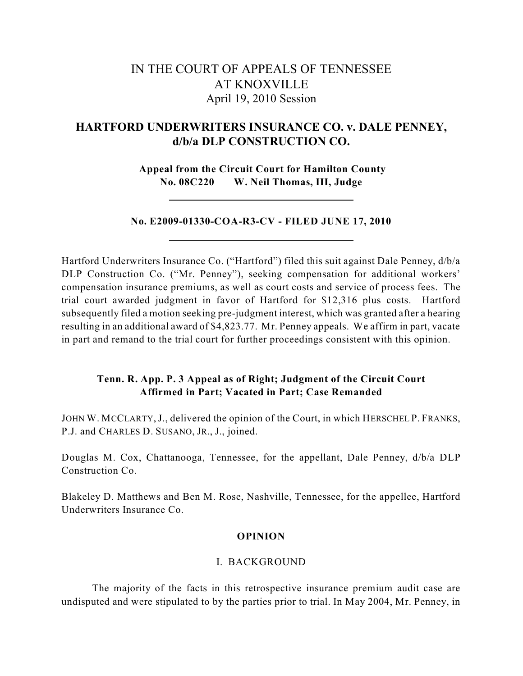# IN THE COURT OF APPEALS OF TENNESSEE AT KNOXVILLE April 19, 2010 Session

## **HARTFORD UNDERWRITERS INSURANCE CO. v. DALE PENNEY, d/b/a DLP CONSTRUCTION CO.**

**Appeal from the Circuit Court for Hamilton County No. 08C220 W. Neil Thomas, III, Judge**

## **No. E2009-01330-COA-R3-CV - FILED JUNE 17, 2010**

Hartford Underwriters Insurance Co. ("Hartford") filed this suit against Dale Penney, d/b/a DLP Construction Co. ("Mr. Penney"), seeking compensation for additional workers' compensation insurance premiums, as well as court costs and service of process fees. The trial court awarded judgment in favor of Hartford for \$12,316 plus costs. Hartford subsequently filed a motion seeking pre-judgment interest, which was granted after a hearing resulting in an additional award of \$4,823.77. Mr. Penney appeals. We affirm in part, vacate in part and remand to the trial court for further proceedings consistent with this opinion.

## **Tenn. R. App. P. 3 Appeal as of Right; Judgment of the Circuit Court Affirmed in Part; Vacated in Part; Case Remanded**

JOHN W. MCCLARTY, J., delivered the opinion of the Court, in which HERSCHEL P. FRANKS, P.J. and CHARLES D. SUSANO, JR., J., joined.

Douglas M. Cox, Chattanooga, Tennessee, for the appellant, Dale Penney, d/b/a DLP Construction Co.

Blakeley D. Matthews and Ben M. Rose, Nashville, Tennessee, for the appellee, Hartford Underwriters Insurance Co.

## **OPINION**

## I. BACKGROUND

The majority of the facts in this retrospective insurance premium audit case are undisputed and were stipulated to by the parties prior to trial. In May 2004, Mr. Penney, in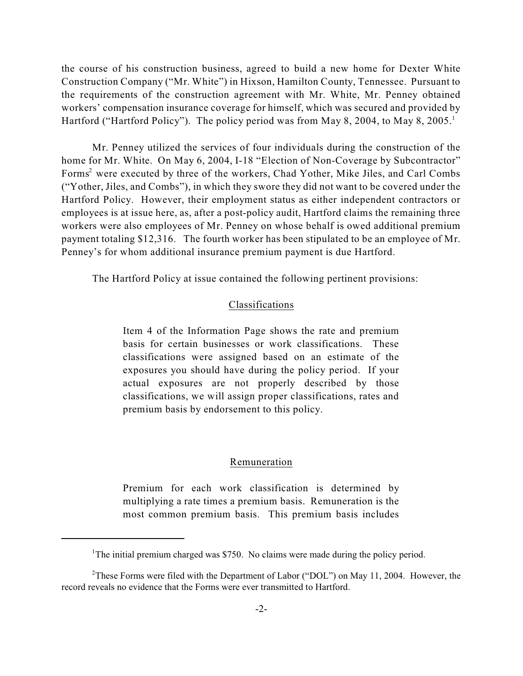the course of his construction business, agreed to build a new home for Dexter White Construction Company ("Mr. White") in Hixson, Hamilton County, Tennessee. Pursuant to the requirements of the construction agreement with Mr. White, Mr. Penney obtained workers' compensation insurance coverage for himself, which was secured and provided by Hartford ("Hartford Policy"). The policy period was from May 8, 2004, to May 8, 2005.<sup>1</sup>

Mr. Penney utilized the services of four individuals during the construction of the home for Mr. White. On May 6, 2004, I-18 "Election of Non-Coverage by Subcontractor" Forms<sup>2</sup> were executed by three of the workers, Chad Yother, Mike Jiles, and Carl Combs ("Yother, Jiles, and Combs"), in which they swore they did not want to be covered under the Hartford Policy. However, their employment status as either independent contractors or employees is at issue here, as, after a post-policy audit, Hartford claims the remaining three workers were also employees of Mr. Penney on whose behalf is owed additional premium payment totaling \$12,316. The fourth worker has been stipulated to be an employee of Mr. Penney's for whom additional insurance premium payment is due Hartford.

The Hartford Policy at issue contained the following pertinent provisions:

#### Classifications

Item 4 of the Information Page shows the rate and premium basis for certain businesses or work classifications. These classifications were assigned based on an estimate of the exposures you should have during the policy period. If your actual exposures are not properly described by those classifications, we will assign proper classifications, rates and premium basis by endorsement to this policy.

#### Remuneration

Premium for each work classification is determined by multiplying a rate times a premium basis. Remuneration is the most common premium basis. This premium basis includes

<sup>&</sup>lt;sup>1</sup>The initial premium charged was \$750. No claims were made during the policy period.

<sup>&</sup>lt;sup>2</sup>These Forms were filed with the Department of Labor ("DOL") on May 11, 2004. However, the record reveals no evidence that the Forms were ever transmitted to Hartford.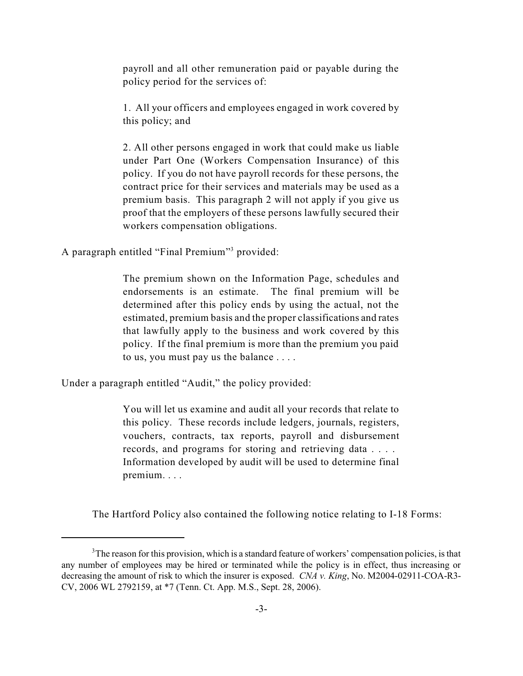payroll and all other remuneration paid or payable during the policy period for the services of:

1. All your officers and employees engaged in work covered by this policy; and

2. All other persons engaged in work that could make us liable under Part One (Workers Compensation Insurance) of this policy. If you do not have payroll records for these persons, the contract price for their services and materials may be used as a premium basis. This paragraph 2 will not apply if you give us proof that the employers of these persons lawfully secured their workers compensation obligations.

A paragraph entitled "Final Premium"<sup>3</sup> provided:

The premium shown on the Information Page, schedules and endorsements is an estimate. The final premium will be determined after this policy ends by using the actual, not the estimated, premium basis and the proper classifications and rates that lawfully apply to the business and work covered by this policy. If the final premium is more than the premium you paid to us, you must pay us the balance . . . .

Under a paragraph entitled "Audit," the policy provided:

You will let us examine and audit all your records that relate to this policy. These records include ledgers, journals, registers, vouchers, contracts, tax reports, payroll and disbursement records, and programs for storing and retrieving data . . . . Information developed by audit will be used to determine final premium. . . .

The Hartford Policy also contained the following notice relating to I-18 Forms:

 $3$ The reason for this provision, which is a standard feature of workers' compensation policies, is that any number of employees may be hired or terminated while the policy is in effect, thus increasing or decreasing the amount of risk to which the insurer is exposed. *CNA v. King*, No. M2004-02911-COA-R3- CV, 2006 WL 2792159, at \*7 (Tenn. Ct. App. M.S., Sept. 28, 2006).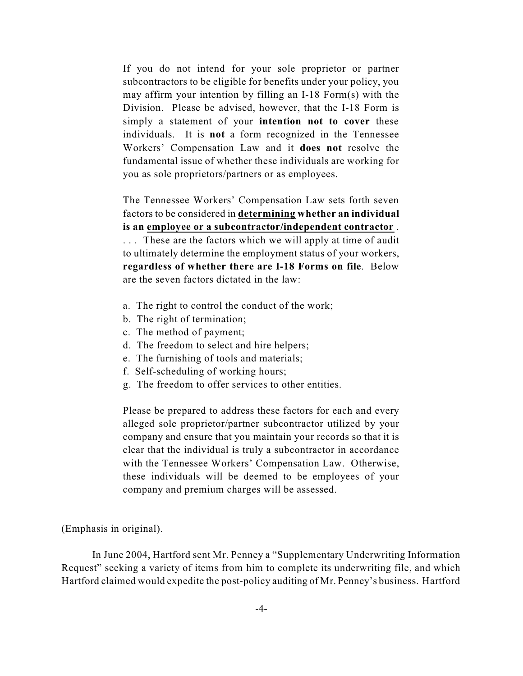If you do not intend for your sole proprietor or partner subcontractors to be eligible for benefits under your policy, you may affirm your intention by filling an I-18 Form(s) with the Division. Please be advised, however, that the I-18 Form is simply a statement of your **intention not to cover** these individuals. It is **not** a form recognized in the Tennessee Workers' Compensation Law and it **does not** resolve the fundamental issue of whether these individuals are working for you as sole proprietors/partners or as employees.

The Tennessee Workers' Compensation Law sets forth seven factors to be considered in **determining whether an individual is an employee or a subcontractor/independent contractor** .

. . . These are the factors which we will apply at time of audit to ultimately determine the employment status of your workers, **regardless of whether there are I-18 Forms on file**. Below are the seven factors dictated in the law:

- a. The right to control the conduct of the work;
- b. The right of termination;
- c. The method of payment;
- d. The freedom to select and hire helpers;
- e. The furnishing of tools and materials;
- f. Self-scheduling of working hours;
- g. The freedom to offer services to other entities.

Please be prepared to address these factors for each and every alleged sole proprietor/partner subcontractor utilized by your company and ensure that you maintain your records so that it is clear that the individual is truly a subcontractor in accordance with the Tennessee Workers' Compensation Law. Otherwise, these individuals will be deemed to be employees of your company and premium charges will be assessed.

(Emphasis in original).

In June 2004, Hartford sent Mr. Penney a "Supplementary Underwriting Information Request" seeking a variety of items from him to complete its underwriting file, and which Hartford claimed would expedite the post-policy auditing of Mr. Penney's business. Hartford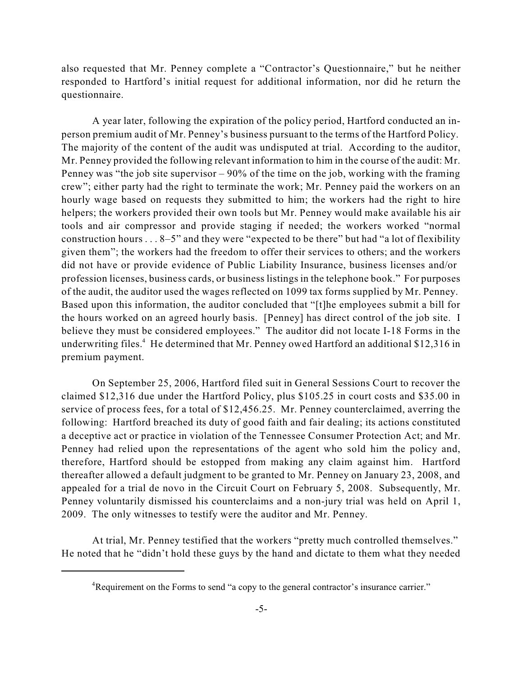also requested that Mr. Penney complete a "Contractor's Questionnaire," but he neither responded to Hartford's initial request for additional information, nor did he return the questionnaire.

A year later, following the expiration of the policy period, Hartford conducted an inperson premium audit of Mr. Penney's business pursuant to the terms of the Hartford Policy. The majority of the content of the audit was undisputed at trial. According to the auditor, Mr. Penney provided the following relevant information to him in the course of the audit: Mr. Penney was "the job site supervisor – 90% of the time on the job, working with the framing crew"; either party had the right to terminate the work; Mr. Penney paid the workers on an hourly wage based on requests they submitted to him; the workers had the right to hire helpers; the workers provided their own tools but Mr. Penney would make available his air tools and air compressor and provide staging if needed; the workers worked "normal construction hours . . . 8–5" and they were "expected to be there" but had "a lot of flexibility given them"; the workers had the freedom to offer their services to others; and the workers did not have or provide evidence of Public Liability Insurance, business licenses and/or profession licenses, business cards, or business listings in the telephone book." For purposes of the audit, the auditor used the wages reflected on 1099 tax forms supplied by Mr. Penney. Based upon this information, the auditor concluded that "[t]he employees submit a bill for the hours worked on an agreed hourly basis. [Penney] has direct control of the job site. I believe they must be considered employees." The auditor did not locate I-18 Forms in the underwriting files. $4$  He determined that Mr. Penney owed Hartford an additional \$12,316 in premium payment.

On September 25, 2006, Hartford filed suit in General Sessions Court to recover the claimed \$12,316 due under the Hartford Policy, plus \$105.25 in court costs and \$35.00 in service of process fees, for a total of \$12,456.25. Mr. Penney counterclaimed, averring the following: Hartford breached its duty of good faith and fair dealing; its actions constituted a deceptive act or practice in violation of the Tennessee Consumer Protection Act; and Mr. Penney had relied upon the representations of the agent who sold him the policy and, therefore, Hartford should be estopped from making any claim against him. Hartford thereafter allowed a default judgment to be granted to Mr. Penney on January 23, 2008, and appealed for a trial de novo in the Circuit Court on February 5, 2008. Subsequently, Mr. Penney voluntarily dismissed his counterclaims and a non-jury trial was held on April 1, 2009. The only witnesses to testify were the auditor and Mr. Penney.

At trial, Mr. Penney testified that the workers "pretty much controlled themselves." He noted that he "didn't hold these guys by the hand and dictate to them what they needed

<sup>&</sup>lt;sup>4</sup>Requirement on the Forms to send "a copy to the general contractor's insurance carrier."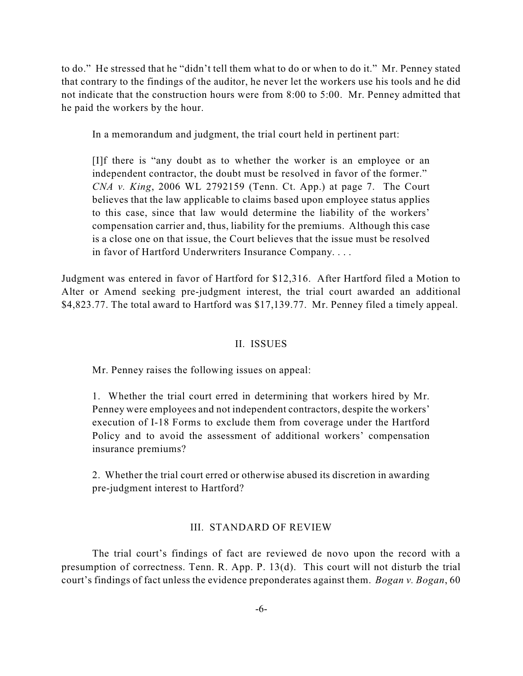to do." He stressed that he "didn't tell them what to do or when to do it." Mr. Penney stated that contrary to the findings of the auditor, he never let the workers use his tools and he did not indicate that the construction hours were from 8:00 to 5:00. Mr. Penney admitted that he paid the workers by the hour.

In a memorandum and judgment, the trial court held in pertinent part:

[I]f there is "any doubt as to whether the worker is an employee or an independent contractor, the doubt must be resolved in favor of the former." *CNA v. King*, 2006 WL 2792159 (Tenn. Ct. App.) at page 7. The Court believes that the law applicable to claims based upon employee status applies to this case, since that law would determine the liability of the workers' compensation carrier and, thus, liability for the premiums. Although this case is a close one on that issue, the Court believes that the issue must be resolved in favor of Hartford Underwriters Insurance Company. . . .

Judgment was entered in favor of Hartford for \$12,316. After Hartford filed a Motion to Alter or Amend seeking pre-judgment interest, the trial court awarded an additional \$4,823.77. The total award to Hartford was \$17,139.77. Mr. Penney filed a timely appeal.

## II. ISSUES

Mr. Penney raises the following issues on appeal:

1. Whether the trial court erred in determining that workers hired by Mr. Penney were employees and not independent contractors, despite the workers' execution of I-18 Forms to exclude them from coverage under the Hartford Policy and to avoid the assessment of additional workers' compensation insurance premiums?

2. Whether the trial court erred or otherwise abused its discretion in awarding pre-judgment interest to Hartford?

#### III. STANDARD OF REVIEW

The trial court's findings of fact are reviewed de novo upon the record with a presumption of correctness. Tenn. R. App. P. 13(d). This court will not disturb the trial court's findings of fact unless the evidence preponderates against them. *Bogan v. Bogan*, 60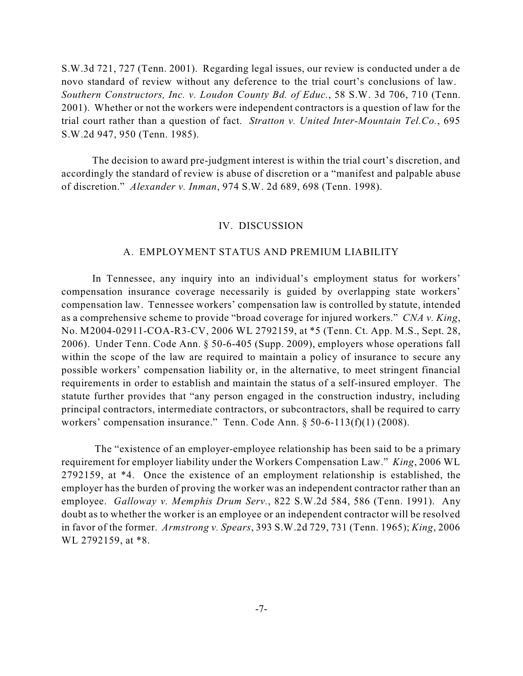S.W.3d 721, 727 (Tenn. 2001). Regarding legal issues, our review is conducted under a de novo standard of review without any deference to the trial court's conclusions of law. *Southern Constructors, Inc. v. Loudon County Bd. of Educ.*, 58 S.W. 3d 706, 710 (Tenn. 2001). Whether or not the workers were independent contractors is a question of law for the trial court rather than a question of fact. *Stratton v. United Inter-Mountain Tel.Co.*, 695 S.W.2d 947, 950 (Tenn. 1985).

The decision to award pre-judgment interest is within the trial court's discretion, and accordingly the standard of review is abuse of discretion or a "manifest and palpable abuse of discretion." *Alexander v. Inman*, 974 S.W. 2d 689, 698 (Tenn. 1998).

#### IV. DISCUSSION

#### A. EMPLOYMENT STATUS AND PREMIUM LIABILITY

In Tennessee, any inquiry into an individual's employment status for workers' compensation insurance coverage necessarily is guided by overlapping state workers' compensation law. Tennessee workers' compensation law is controlled by statute, intended as a comprehensive scheme to provide "broad coverage for injured workers." *CNA v. King*, No. M2004-02911-COA-R3-CV, 2006 WL 2792159, at \*5 (Tenn. Ct. App. M.S., Sept. 28, 2006). Under Tenn. Code Ann. § 50-6-405 (Supp. 2009), employers whose operations fall within the scope of the law are required to maintain a policy of insurance to secure any possible workers' compensation liability or, in the alternative, to meet stringent financial requirements in order to establish and maintain the status of a self-insured employer. The statute further provides that "any person engaged in the construction industry, including principal contractors, intermediate contractors, or subcontractors, shall be required to carry workers' compensation insurance." Tenn. Code Ann. § 50-6-113(f)(1) (2008).

 The "existence of an employer-employee relationship has been said to be a primary requirement for employer liability under the Workers Compensation Law." *King*, 2006 WL 2792159, at \*4. Once the existence of an employment relationship is established, the employer has the burden of proving the worker was an independent contractor rather than an employee. *Galloway v. Memphis Drum Serv.*, 822 S.W.2d 584, 586 (Tenn. 1991). Any doubt as to whether the worker is an employee or an independent contractor will be resolved in favor of the former. *Armstrong v. Spears*, 393 S.W.2d 729, 731 (Tenn. 1965); *King*, 2006 WL 2792159, at \*8.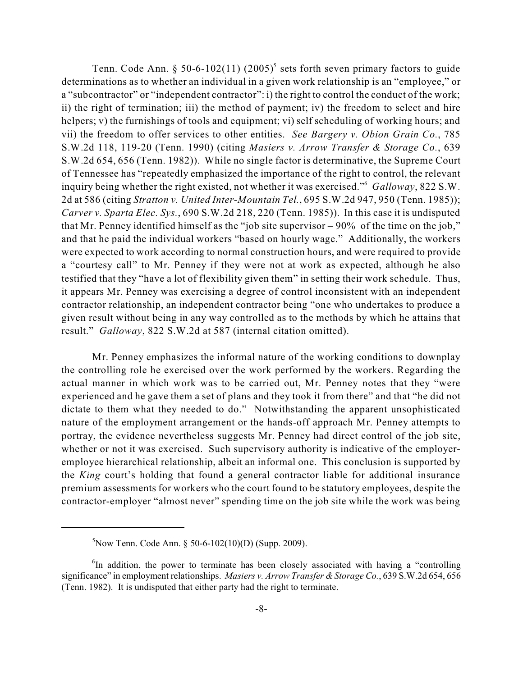Tenn. Code Ann. § 50-6-102(11) (2005)<sup>5</sup> sets forth seven primary factors to guide determinations as to whether an individual in a given work relationship is an "employee," or a "subcontractor" or "independent contractor": i) the right to control the conduct of the work; ii) the right of termination; iii) the method of payment; iv) the freedom to select and hire helpers; v) the furnishings of tools and equipment; vi) self scheduling of working hours; and vii) the freedom to offer services to other entities. *See Bargery v. Obion Grain Co.*, 785 S.W.2d 118, 119-20 (Tenn. 1990) (citing *Masiers v. Arrow Transfer & Storage Co.*, 639 S.W.2d 654, 656 (Tenn. 1982)). While no single factor is determinative, the Supreme Court of Tennessee has "repeatedly emphasized the importance of the right to control, the relevant inquiry being whether the right existed, not whether it was exercised." Galloway, 822 S.W. 2d at 586 (citing *Stratton v. United Inter-Mountain Tel.*, 695 S.W.2d 947, 950 (Tenn. 1985)); *Carver v. Sparta Elec. Sys.*, 690 S.W.2d 218, 220 (Tenn. 1985)). In this case it is undisputed that Mr. Penney identified himself as the "job site supervisor – 90% of the time on the job," and that he paid the individual workers "based on hourly wage." Additionally, the workers were expected to work according to normal construction hours, and were required to provide a "courtesy call" to Mr. Penney if they were not at work as expected, although he also testified that they "have a lot of flexibility given them" in setting their work schedule. Thus, it appears Mr. Penney was exercising a degree of control inconsistent with an independent contractor relationship, an independent contractor being "one who undertakes to produce a given result without being in any way controlled as to the methods by which he attains that result." *Galloway*, 822 S.W.2d at 587 (internal citation omitted).

Mr. Penney emphasizes the informal nature of the working conditions to downplay the controlling role he exercised over the work performed by the workers. Regarding the actual manner in which work was to be carried out, Mr. Penney notes that they "were experienced and he gave them a set of plans and they took it from there" and that "he did not dictate to them what they needed to do." Notwithstanding the apparent unsophisticated nature of the employment arrangement or the hands-off approach Mr. Penney attempts to portray, the evidence nevertheless suggests Mr. Penney had direct control of the job site, whether or not it was exercised. Such supervisory authority is indicative of the employeremployee hierarchical relationship, albeit an informal one. This conclusion is supported by the *King* court's holding that found a general contractor liable for additional insurance premium assessments for workers who the court found to be statutory employees, despite the contractor-employer "almost never" spending time on the job site while the work was being

 ${}^{5}$ Now Tenn. Code Ann. § 50-6-102(10)(D) (Supp. 2009).

 ${}^{6}$ In addition, the power to terminate has been closely associated with having a "controlling" significance" in employment relationships. *Masiers v. Arrow Transfer & Storage Co.*, 639 S.W.2d 654, 656 (Tenn. 1982). It is undisputed that either party had the right to terminate.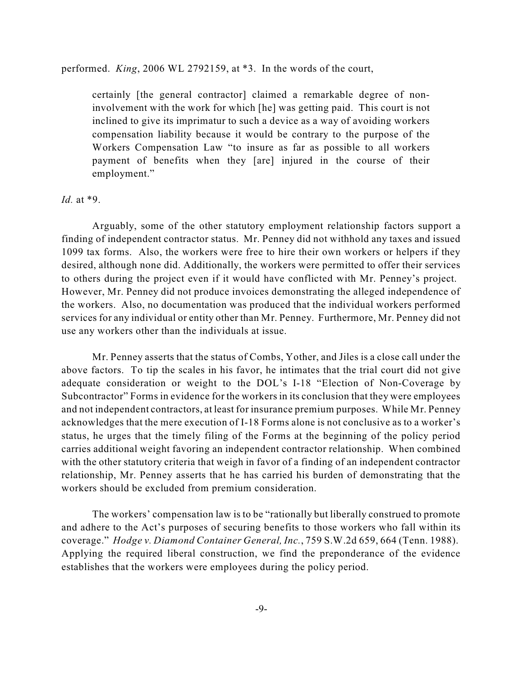performed. *King*, 2006 WL 2792159, at \*3. In the words of the court,

certainly [the general contractor] claimed a remarkable degree of noninvolvement with the work for which [he] was getting paid. This court is not inclined to give its imprimatur to such a device as a way of avoiding workers compensation liability because it would be contrary to the purpose of the Workers Compensation Law "to insure as far as possible to all workers payment of benefits when they [are] injured in the course of their employment."

#### *Id.* at \*9.

Arguably, some of the other statutory employment relationship factors support a finding of independent contractor status. Mr. Penney did not withhold any taxes and issued 1099 tax forms. Also, the workers were free to hire their own workers or helpers if they desired, although none did. Additionally, the workers were permitted to offer their services to others during the project even if it would have conflicted with Mr. Penney's project. However, Mr. Penney did not produce invoices demonstrating the alleged independence of the workers. Also, no documentation was produced that the individual workers performed services for any individual or entity other than Mr. Penney. Furthermore, Mr. Penney did not use any workers other than the individuals at issue.

Mr. Penney asserts that the status of Combs, Yother, and Jiles is a close call under the above factors. To tip the scales in his favor, he intimates that the trial court did not give adequate consideration or weight to the DOL's I-18 "Election of Non-Coverage by Subcontractor" Forms in evidence for the workers in its conclusion that they were employees and not independent contractors, at least for insurance premium purposes. While Mr. Penney acknowledges that the mere execution of I-18 Forms alone is not conclusive as to a worker's status, he urges that the timely filing of the Forms at the beginning of the policy period carries additional weight favoring an independent contractor relationship. When combined with the other statutory criteria that weigh in favor of a finding of an independent contractor relationship, Mr. Penney asserts that he has carried his burden of demonstrating that the workers should be excluded from premium consideration.

The workers' compensation law is to be "rationally but liberally construed to promote and adhere to the Act's purposes of securing benefits to those workers who fall within its coverage." *Hodge v. Diamond Container General, Inc.*, 759 S.W.2d 659, 664 (Tenn. 1988). Applying the required liberal construction, we find the preponderance of the evidence establishes that the workers were employees during the policy period.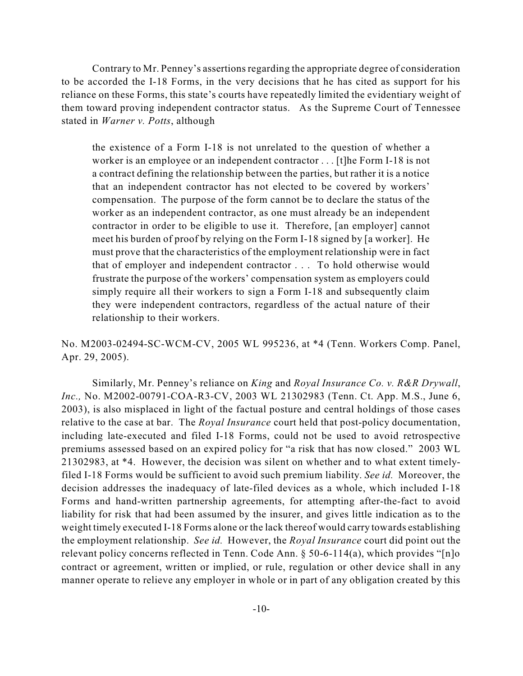Contrary to Mr. Penney's assertions regarding the appropriate degree of consideration to be accorded the I-18 Forms, in the very decisions that he has cited as support for his reliance on these Forms, this state's courts have repeatedly limited the evidentiary weight of them toward proving independent contractor status. As the Supreme Court of Tennessee stated in *Warner v. Potts*, although

the existence of a Form I-18 is not unrelated to the question of whether a worker is an employee or an independent contractor . . . [t]he Form I-18 is not a contract defining the relationship between the parties, but rather it is a notice that an independent contractor has not elected to be covered by workers' compensation. The purpose of the form cannot be to declare the status of the worker as an independent contractor, as one must already be an independent contractor in order to be eligible to use it. Therefore, [an employer] cannot meet his burden of proof by relying on the Form I-18 signed by [a worker]. He must prove that the characteristics of the employment relationship were in fact that of employer and independent contractor . . . To hold otherwise would frustrate the purpose of the workers' compensation system as employers could simply require all their workers to sign a Form I-18 and subsequently claim they were independent contractors, regardless of the actual nature of their relationship to their workers.

No. M2003-02494-SC-WCM-CV, 2005 WL 995236, at \*4 (Tenn. Workers Comp. Panel, Apr. 29, 2005).

Similarly, Mr. Penney's reliance on *King* and *Royal Insurance Co. v. R&R Drywall*, *Inc.,* No. M2002-00791-COA-R3-CV, 2003 WL 21302983 (Tenn. Ct. App. M.S., June 6, 2003), is also misplaced in light of the factual posture and central holdings of those cases relative to the case at bar. The *Royal Insurance* court held that post-policy documentation, including late-executed and filed I-18 Forms, could not be used to avoid retrospective premiums assessed based on an expired policy for "a risk that has now closed." 2003 WL 21302983, at \*4. However, the decision was silent on whether and to what extent timelyfiled I-18 Forms would be sufficient to avoid such premium liability. *See id.* Moreover, the decision addresses the inadequacy of late-filed devices as a whole, which included I-18 Forms and hand-written partnership agreements, for attempting after-the-fact to avoid liability for risk that had been assumed by the insurer, and gives little indication as to the weight timely executed I-18 Forms alone or the lack thereof would carry towards establishing the employment relationship. *See id.* However, the *Royal Insurance* court did point out the relevant policy concerns reflected in Tenn. Code Ann. § 50-6-114(a), which provides "[n]o contract or agreement, written or implied, or rule, regulation or other device shall in any manner operate to relieve any employer in whole or in part of any obligation created by this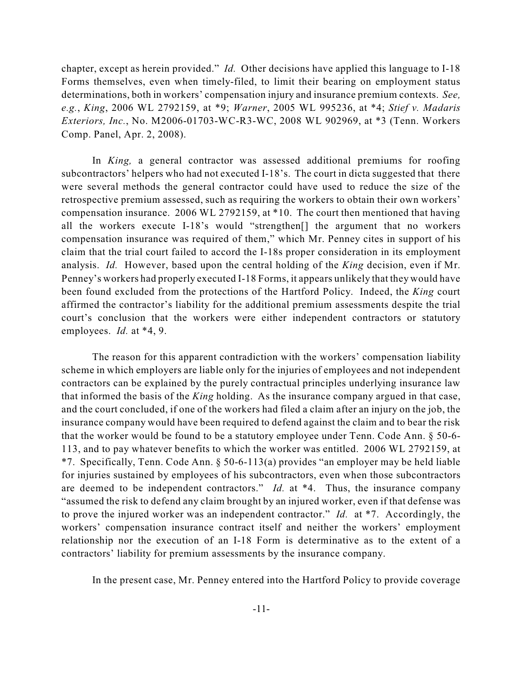chapter, except as herein provided." *Id.* Other decisions have applied this language to I-18 Forms themselves, even when timely-filed, to limit their bearing on employment status determinations, both in workers' compensation injury and insurance premium contexts. *See, e.g.*, *King*, 2006 WL 2792159, at \*9; *Warner*, 2005 WL 995236, at \*4; *Stief v. Madaris Exteriors, Inc.*, No. M2006-01703-WC-R3-WC, 2008 WL 902969, at \*3 (Tenn. Workers Comp. Panel, Apr. 2, 2008).

In *King,* a general contractor was assessed additional premiums for roofing subcontractors' helpers who had not executed I-18's. The court in dicta suggested that there were several methods the general contractor could have used to reduce the size of the retrospective premium assessed, such as requiring the workers to obtain their own workers' compensation insurance. 2006 WL 2792159, at \*10. The court then mentioned that having all the workers execute I-18's would "strengthen[] the argument that no workers compensation insurance was required of them," which Mr. Penney cites in support of his claim that the trial court failed to accord the I-18s proper consideration in its employment analysis. *Id.* However, based upon the central holding of the *King* decision, even if Mr. Penney's workers had properly executed I-18 Forms, it appears unlikely that they would have been found excluded from the protections of the Hartford Policy. Indeed, the *King* court affirmed the contractor's liability for the additional premium assessments despite the trial court's conclusion that the workers were either independent contractors or statutory employees. *Id.* at \*4, 9.

The reason for this apparent contradiction with the workers' compensation liability scheme in which employers are liable only for the injuries of employees and not independent contractors can be explained by the purely contractual principles underlying insurance law that informed the basis of the *King* holding. As the insurance company argued in that case, and the court concluded, if one of the workers had filed a claim after an injury on the job, the insurance company would have been required to defend against the claim and to bear the risk that the worker would be found to be a statutory employee under Tenn. Code Ann. § 50-6- 113, and to pay whatever benefits to which the worker was entitled. 2006 WL 2792159, at \*7. Specifically, Tenn. Code Ann. § 50-6-113(a) provides "an employer may be held liable for injuries sustained by employees of his subcontractors, even when those subcontractors are deemed to be independent contractors." *Id.* at \*4. Thus, the insurance company "assumed the risk to defend any claim brought by an injured worker, even if that defense was to prove the injured worker was an independent contractor." *Id.* at \*7. Accordingly, the workers' compensation insurance contract itself and neither the workers' employment relationship nor the execution of an I-18 Form is determinative as to the extent of a contractors' liability for premium assessments by the insurance company.

In the present case, Mr. Penney entered into the Hartford Policy to provide coverage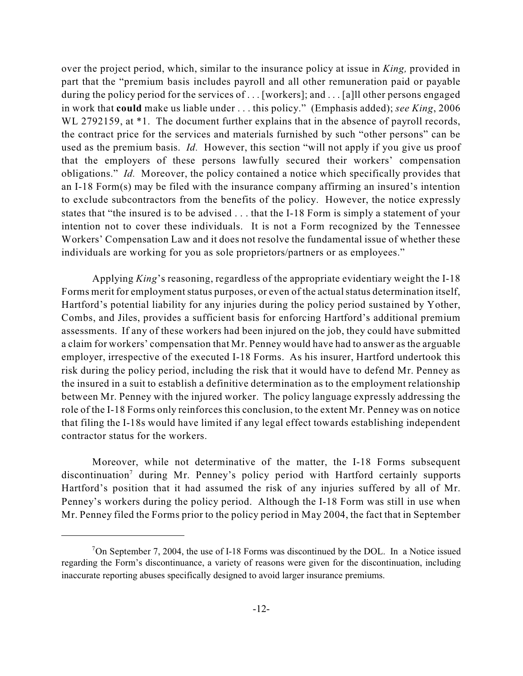over the project period, which, similar to the insurance policy at issue in *King,* provided in part that the "premium basis includes payroll and all other remuneration paid or payable during the policy period for the services of ... [workers]; and ... [a] l other persons engaged in work that **could** make us liable under . . . this policy." (Emphasis added); *see King*, 2006 WL 2792159, at  $*1$ . The document further explains that in the absence of payroll records, the contract price for the services and materials furnished by such "other persons" can be used as the premium basis. *Id.* However, this section "will not apply if you give us proof that the employers of these persons lawfully secured their workers' compensation obligations." *Id.* Moreover, the policy contained a notice which specifically provides that an I-18 Form(s) may be filed with the insurance company affirming an insured's intention to exclude subcontractors from the benefits of the policy. However, the notice expressly states that "the insured is to be advised . . . that the I-18 Form is simply a statement of your intention not to cover these individuals. It is not a Form recognized by the Tennessee Workers' Compensation Law and it does not resolve the fundamental issue of whether these individuals are working for you as sole proprietors/partners or as employees."

Applying *King*'s reasoning, regardless of the appropriate evidentiary weight the I-18 Forms merit for employment status purposes, or even of the actual status determination itself, Hartford's potential liability for any injuries during the policy period sustained by Yother, Combs, and Jiles, provides a sufficient basis for enforcing Hartford's additional premium assessments. If any of these workers had been injured on the job, they could have submitted a claim for workers' compensation that Mr. Penney would have had to answer as the arguable employer, irrespective of the executed I-18 Forms. As his insurer, Hartford undertook this risk during the policy period, including the risk that it would have to defend Mr. Penney as the insured in a suit to establish a definitive determination as to the employment relationship between Mr. Penney with the injured worker. The policy language expressly addressing the role of the I-18 Forms only reinforces this conclusion, to the extent Mr. Penney was on notice that filing the I-18s would have limited if any legal effect towards establishing independent contractor status for the workers.

Moreover, while not determinative of the matter, the I-18 Forms subsequent discontinuation<sup>7</sup> during Mr. Penney's policy period with Hartford certainly supports Hartford's position that it had assumed the risk of any injuries suffered by all of Mr. Penney's workers during the policy period. Although the I-18 Form was still in use when Mr. Penney filed the Forms prior to the policy period in May 2004, the fact that in September

<sup>&</sup>lt;sup>7</sup>On September 7, 2004, the use of I-18 Forms was discontinued by the DOL. In a Notice issued regarding the Form's discontinuance, a variety of reasons were given for the discontinuation, including inaccurate reporting abuses specifically designed to avoid larger insurance premiums.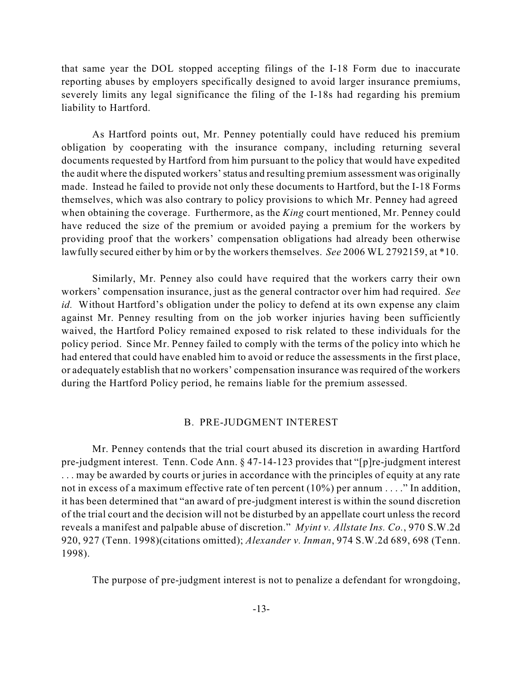that same year the DOL stopped accepting filings of the I-18 Form due to inaccurate reporting abuses by employers specifically designed to avoid larger insurance premiums, severely limits any legal significance the filing of the I-18s had regarding his premium liability to Hartford.

As Hartford points out, Mr. Penney potentially could have reduced his premium obligation by cooperating with the insurance company, including returning several documents requested by Hartford from him pursuant to the policy that would have expedited the audit where the disputed workers'status and resulting premium assessment was originally made. Instead he failed to provide not only these documents to Hartford, but the I-18 Forms themselves, which was also contrary to policy provisions to which Mr. Penney had agreed when obtaining the coverage. Furthermore, as the *King* court mentioned, Mr. Penney could have reduced the size of the premium or avoided paying a premium for the workers by providing proof that the workers' compensation obligations had already been otherwise lawfully secured either by him or by the workers themselves. *See* 2006 WL 2792159, at \*10.

Similarly, Mr. Penney also could have required that the workers carry their own workers' compensation insurance, just as the general contractor over him had required. *See id.* Without Hartford's obligation under the policy to defend at its own expense any claim against Mr. Penney resulting from on the job worker injuries having been sufficiently waived, the Hartford Policy remained exposed to risk related to these individuals for the policy period. Since Mr. Penney failed to comply with the terms of the policy into which he had entered that could have enabled him to avoid or reduce the assessments in the first place, or adequately establish that no workers' compensation insurance was required of the workers during the Hartford Policy period, he remains liable for the premium assessed.

#### B. PRE-JUDGMENT INTEREST

Mr. Penney contends that the trial court abused its discretion in awarding Hartford pre-judgment interest. Tenn. Code Ann. § 47-14-123 provides that "[p]re-judgment interest . . . may be awarded by courts or juries in accordance with the principles of equity at any rate not in excess of a maximum effective rate of ten percent (10%) per annum . . . ." In addition, it has been determined that "an award of pre-judgment interest is within the sound discretion of the trial court and the decision will not be disturbed by an appellate court unless the record reveals a manifest and palpable abuse of discretion." *Myint v. Allstate Ins. Co.*, 970 S.W.2d 920, 927 (Tenn. 1998)(citations omitted); *Alexander v. Inman*, 974 S.W.2d 689, 698 (Tenn. 1998).

The purpose of pre-judgment interest is not to penalize a defendant for wrongdoing,